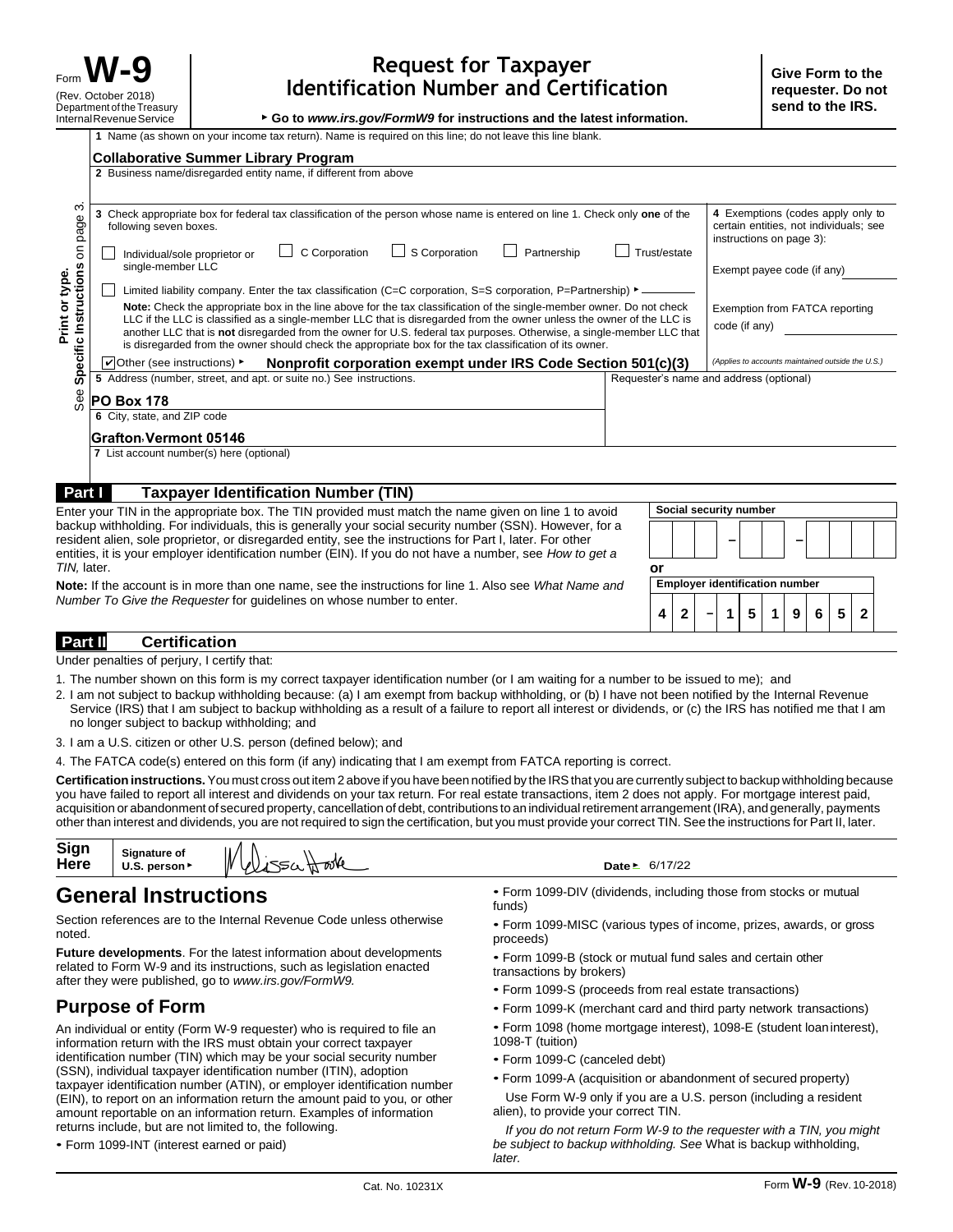▶ **Go to** *[www.irs.gov/FormW9](http://www.irs.gov/FormW9)* **for instructions and the latest information.**

|                                                                                                                                                                                                                                    | 1 Name (as shown on your income tax return). Name is required on this line; do not leave this line blank.<br><b>Collaborative Summer Library Program</b>                                                                                                                                                                                                                                                                                                                           |    |  |                                                   |                                                                                                                                       |   |        |              |  |
|------------------------------------------------------------------------------------------------------------------------------------------------------------------------------------------------------------------------------------|------------------------------------------------------------------------------------------------------------------------------------------------------------------------------------------------------------------------------------------------------------------------------------------------------------------------------------------------------------------------------------------------------------------------------------------------------------------------------------|----|--|---------------------------------------------------|---------------------------------------------------------------------------------------------------------------------------------------|---|--------|--------------|--|
|                                                                                                                                                                                                                                    | 2 Business name/disregarded entity name, if different from above                                                                                                                                                                                                                                                                                                                                                                                                                   |    |  |                                                   |                                                                                                                                       |   |        |              |  |
| S<br>page<br>$\epsilon$<br>Specific Instructions<br>Print or type.                                                                                                                                                                 | 3 Check appropriate box for federal tax classification of the person whose name is entered on line 1. Check only one of the<br>following seven boxes.<br>C Corporation<br>$\Box$ S Corporation<br>Trust/estate<br>Partnership<br>Individual/sole proprietor or<br>single-member LLC<br>Limited liability company. Enter the tax classification (C=C corporation, S=S corporation, P=Partnership) $\blacktriangleright$ –                                                           |    |  |                                                   | 4 Exemptions (codes apply only to<br>certain entities, not individuals; see<br>instructions on page 3):<br>Exempt payee code (if any) |   |        |              |  |
|                                                                                                                                                                                                                                    | Note: Check the appropriate box in the line above for the tax classification of the single-member owner. Do not check<br>LLC if the LLC is classified as a single-member LLC that is disregarded from the owner unless the owner of the LLC is<br>another LLC that is not disregarded from the owner for U.S. federal tax purposes. Otherwise, a single-member LLC that<br>is disregarded from the owner should check the appropriate box for the tax classification of its owner. |    |  |                                                   | Exemption from FATCA reporting<br>code (if any)                                                                                       |   |        |              |  |
|                                                                                                                                                                                                                                    | Nonprofit corporation exempt under IRS Code Section 501(c)(3)<br>$\vert \mathbf{v} \vert$ Other (see instructions) $\mathbf{v}$                                                                                                                                                                                                                                                                                                                                                    |    |  | (Applies to accounts maintained outside the U.S.) |                                                                                                                                       |   |        |              |  |
|                                                                                                                                                                                                                                    | 5 Address (number, street, and apt. or suite no.) See instructions.                                                                                                                                                                                                                                                                                                                                                                                                                |    |  | Requester's name and address (optional)           |                                                                                                                                       |   |        |              |  |
| See                                                                                                                                                                                                                                | <b>PO Box 178</b>                                                                                                                                                                                                                                                                                                                                                                                                                                                                  |    |  |                                                   |                                                                                                                                       |   |        |              |  |
|                                                                                                                                                                                                                                    | 6 City, state, and ZIP code                                                                                                                                                                                                                                                                                                                                                                                                                                                        |    |  |                                                   |                                                                                                                                       |   |        |              |  |
|                                                                                                                                                                                                                                    | Grafton Vermont 05146                                                                                                                                                                                                                                                                                                                                                                                                                                                              |    |  |                                                   |                                                                                                                                       |   |        |              |  |
|                                                                                                                                                                                                                                    | 7 List account number(s) here (optional)                                                                                                                                                                                                                                                                                                                                                                                                                                           |    |  |                                                   |                                                                                                                                       |   |        |              |  |
| Part I                                                                                                                                                                                                                             | <b>Taxpayer Identification Number (TIN)</b>                                                                                                                                                                                                                                                                                                                                                                                                                                        |    |  |                                                   |                                                                                                                                       |   |        |              |  |
| Social security number<br>Enter your TIN in the appropriate box. The TIN provided must match the name given on line 1 to avoid                                                                                                     |                                                                                                                                                                                                                                                                                                                                                                                                                                                                                    |    |  |                                                   |                                                                                                                                       |   |        |              |  |
|                                                                                                                                                                                                                                    | backup withholding. For individuals, this is generally your social security number (SSN). However, for a<br>resident alien, sole proprietor, or disregarded entity, see the instructions for Part I, later. For other<br>entities, it is your employer identification number (EIN). If you do not have a number, see How to get a                                                                                                                                                  |    |  |                                                   |                                                                                                                                       |   |        |              |  |
| TIN. later.                                                                                                                                                                                                                        |                                                                                                                                                                                                                                                                                                                                                                                                                                                                                    | or |  |                                                   |                                                                                                                                       |   |        |              |  |
| <b>Employer identification number</b><br>Note: If the account is in more than one name, see the instructions for line 1. Also see What Name and<br>Number To Give the Requester for quidelines on whose number to enter.<br>4<br>2 |                                                                                                                                                                                                                                                                                                                                                                                                                                                                                    |    |  |                                                   |                                                                                                                                       |   |        |              |  |
|                                                                                                                                                                                                                                    |                                                                                                                                                                                                                                                                                                                                                                                                                                                                                    |    |  |                                                   | 5                                                                                                                                     | 9 | 5<br>6 | $\mathbf{2}$ |  |

### **Part II Certification**

Under penalties of perjury, I certify that:

- 1. The number shown on this form is my correct taxpayer identification number (or I am waiting for a number to be issued to me); and
- 2. I am not subject to backup withholding because: (a) I am exempt from backup withholding, or (b) I have not been notified by the Internal Revenue Service (IRS) that I am subject to backup withholding as a result of a failure to report all interest or dividends, or (c) the IRS has notified me that I am no longer subject to backup withholding; and
- 3. I am a U.S. citizen or other U.S. person (defined below); and
- 4. The FATCA code(s) entered on this form (if any) indicating that I am exempt from FATCA reporting is correct.

**Certification instructions.**You must cross out item 2 above if you have been notified by the IRSthat you are currently subject to backup withholding because you have failed to report all interest and dividends on your tax return. For real estate transactions, item 2 does not apply. For mortgage interest paid, acquisition or abandonment of secured property, cancellation of debt, contributions to an individual retirement arrangement (IRA), and generally, payments other than interest and dividends, you are not required to sign the certification, but you must provide your correct TIN. See the instructions for Part II, later.

| Sign<br>W<br>Signature of<br>Hooke<br>Here<br>550 <sub>h</sub><br>WS<br>U.S. person > | Date ⊵ |
|---------------------------------------------------------------------------------------|--------|
|---------------------------------------------------------------------------------------|--------|

# **General Instructions**

Section references are to the Internal Revenue Code unless otherwise noted.

**Future developments**. For the latest information about developments related to Form W-9 and its instructions, such as legislation enacted after they were published, go to *[www.irs.gov/FormW9.](http://www.irs.gov/FormW9)*

## **Purpose of Form**

An individual or entity (Form W-9 requester) who is required to file an information return with the IRS must obtain your correct taxpayer identification number (TIN) which may be your social security number (SSN), individual taxpayer identification number (ITIN), adoption taxpayer identification number (ATIN), or employer identification number (EIN), to report on an information return the amount paid to you, or other amount reportable on an information return. Examples of information returns include, but are not limited to, the following.

|  | • Form 1099-INT (interest earned or paid) |  |  |
|--|-------------------------------------------|--|--|
|  |                                           |  |  |

• Form 1099-DIV (dividends, including those from stocks or mutual funds)

- Form 1099-MISC (various types of income, prizes, awards, or gross proceeds)
- Form 1099-B (stock or mutual fund sales and certain other transactions by brokers)
- Form 1099-S (proceeds from real estate transactions)

Date **►** 6/17/22

- Form 1099-K (merchant card and third party network transactions)
- Form 1098 (home mortgage interest), 1098-E (student loaninterest), 1098-T (tuition)
- Form 1099-C (canceled debt)
- Form 1099-A (acquisition or abandonment of secured property)
- Use Form W-9 only if you are a U.S. person (including a resident alien), to provide your correct TIN.

*If you do not return Form W-9 to the requester with a TIN, you might be subject to backup withholding. See* What is backup withholding, *later.*